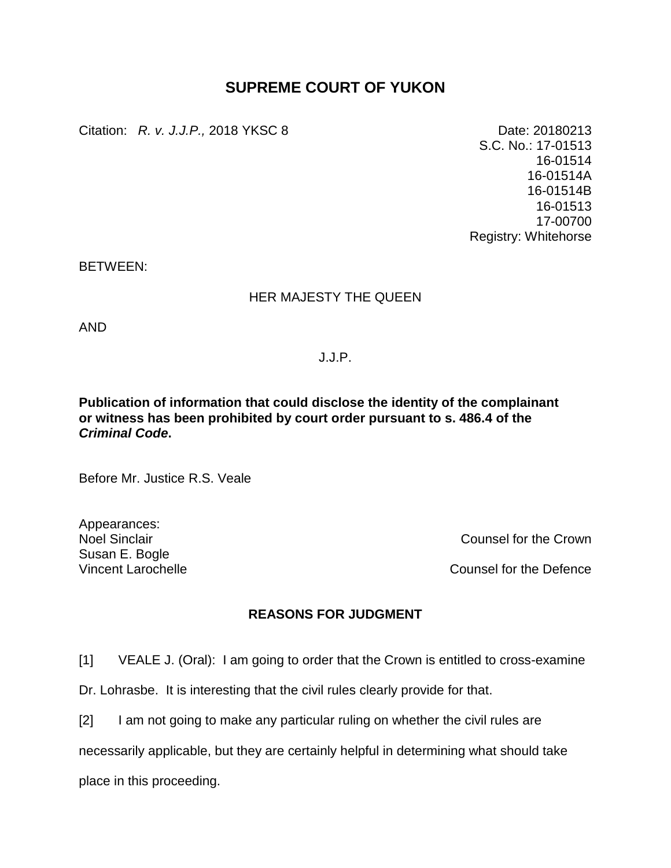## **SUPREME COURT OF YUKON**

Citation: *R. v. J.J.P.,* 2018 YKSC 8 Date: 20180213

S.C. No.: 17-01513 16-01514 16-01514A 16-01514B 16-01513 17-00700 Registry: Whitehorse

BETWEEN:

## HER MAJESTY THE QUEEN

AND

J.J.P.

## **Publication of information that could disclose the identity of the complainant or witness has been prohibited by court order pursuant to s. 486.4 of the**  *Criminal Code***.**

Before Mr. Justice R.S. Veale

Appearances: Susan E. Bogle

Noel Sinclair Counsel for the Crown

Vincent Larochelle Counsel for the Defence

## **REASONS FOR JUDGMENT**

[1] VEALE J. (Oral): I am going to order that the Crown is entitled to cross-examine

Dr. Lohrasbe. It is interesting that the civil rules clearly provide for that.

[2] I am not going to make any particular ruling on whether the civil rules are

necessarily applicable, but they are certainly helpful in determining what should take

place in this proceeding.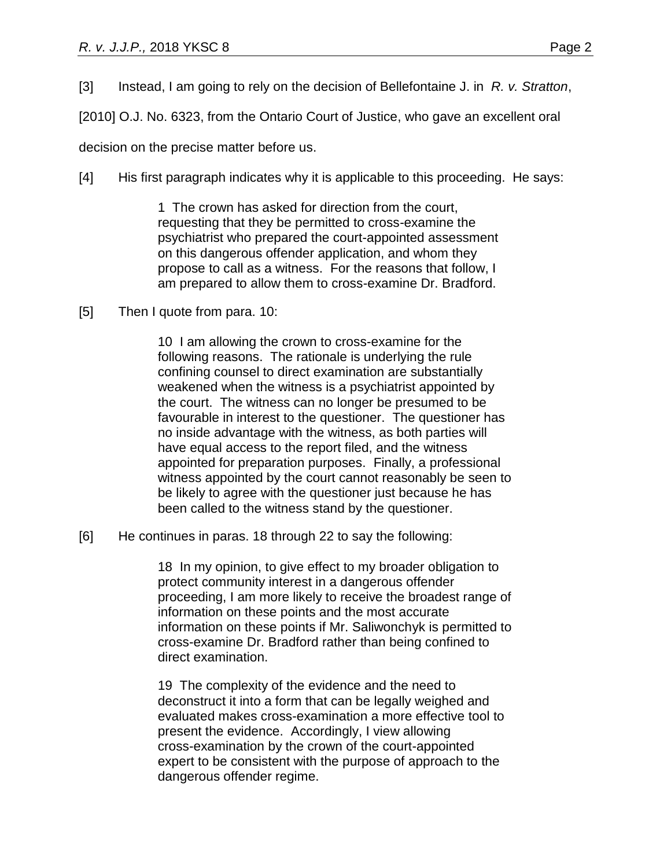[3] Instead, I am going to rely on the decision of Bellefontaine J. in *R. v. Stratton*,

[2010] O.J. No. 6323, from the Ontario Court of Justice, who gave an excellent oral

decision on the precise matter before us.

[4] His first paragraph indicates why it is applicable to this proceeding. He says:

1 The crown has asked for direction from the court, requesting that they be permitted to cross-examine the psychiatrist who prepared the court-appointed assessment on this dangerous offender application, and whom they propose to call as a witness. For the reasons that follow, I am prepared to allow them to cross-examine Dr. Bradford.

[5] Then I quote from para. 10:

10 I am allowing the crown to cross-examine for the following reasons. The rationale is underlying the rule confining counsel to direct examination are substantially weakened when the witness is a psychiatrist appointed by the court. The witness can no longer be presumed to be favourable in interest to the questioner. The questioner has no inside advantage with the witness, as both parties will have equal access to the report filed, and the witness appointed for preparation purposes. Finally, a professional witness appointed by the court cannot reasonably be seen to be likely to agree with the questioner just because he has been called to the witness stand by the questioner.

[6] He continues in paras. 18 through 22 to say the following:

18 In my opinion, to give effect to my broader obligation to protect community interest in a dangerous offender proceeding, I am more likely to receive the broadest range of information on these points and the most accurate information on these points if Mr. Saliwonchyk is permitted to cross-examine Dr. Bradford rather than being confined to direct examination.

19 The complexity of the evidence and the need to deconstruct it into a form that can be legally weighed and evaluated makes cross-examination a more effective tool to present the evidence. Accordingly, I view allowing cross-examination by the crown of the court-appointed expert to be consistent with the purpose of approach to the dangerous offender regime.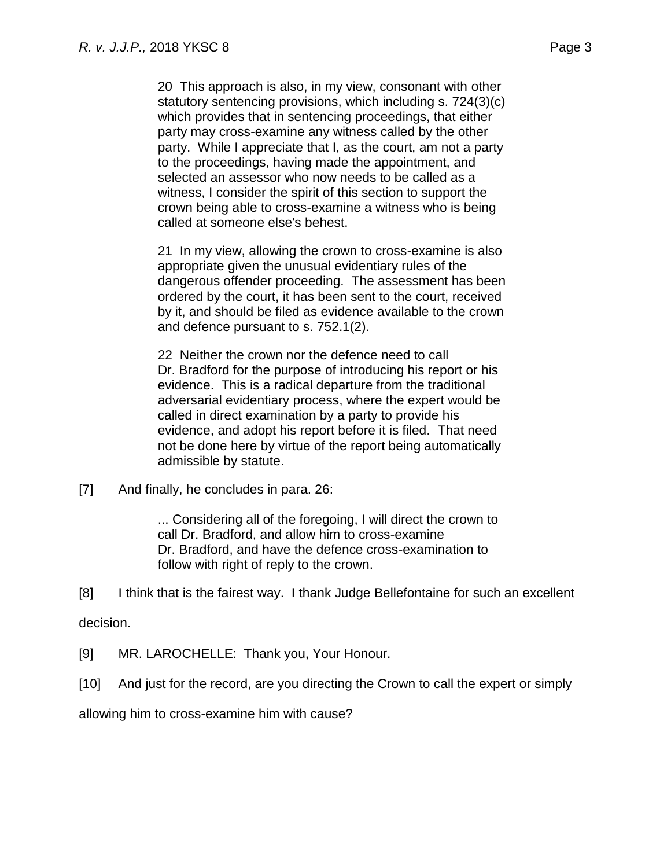20 This approach is also, in my view, consonant with other statutory sentencing provisions, which including s. 724(3)(c) which provides that in sentencing proceedings, that either party may cross-examine any witness called by the other party. While I appreciate that I, as the court, am not a party to the proceedings, having made the appointment, and selected an assessor who now needs to be called as a witness, I consider the spirit of this section to support the crown being able to cross-examine a witness who is being called at someone else's behest.

21 In my view, allowing the crown to cross-examine is also appropriate given the unusual evidentiary rules of the dangerous offender proceeding. The assessment has been ordered by the court, it has been sent to the court, received by it, and should be filed as evidence available to the crown and defence pursuant to s. 752.1(2).

22 Neither the crown nor the defence need to call Dr. Bradford for the purpose of introducing his report or his evidence. This is a radical departure from the traditional adversarial evidentiary process, where the expert would be called in direct examination by a party to provide his evidence, and adopt his report before it is filed. That need not be done here by virtue of the report being automatically admissible by statute.

[7] And finally, he concludes in para. 26:

... Considering all of the foregoing, I will direct the crown to call Dr. Bradford, and allow him to cross-examine Dr. Bradford, and have the defence cross-examination to follow with right of reply to the crown.

[8] I think that is the fairest way. I thank Judge Bellefontaine for such an excellent

decision.

- [9] MR. LAROCHELLE: Thank you, Your Honour.
- [10] And just for the record, are you directing the Crown to call the expert or simply

allowing him to cross-examine him with cause?